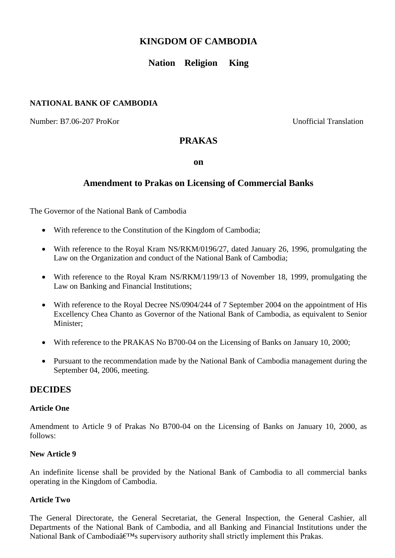# **KINGDOM OF CAMBODIA**

# **Nation Religion King**

### **NATIONAL BANK OF CAMBODIA**

Number: B7.06-207 ProKor Unofficial Translation

### **PRAKAS**

**on**

## **Amendment to Prakas on Licensing of Commercial Banks**

The Governor of the National Bank of Cambodia

- With reference to the Constitution of the Kingdom of Cambodia;
- With reference to the Royal Kram NS/RKM/0196/27, dated January 26, 1996, promulgating the Law on the Organization and conduct of the National Bank of Cambodia;
- With reference to the Royal Kram NS/RKM/1199/13 of November 18, 1999, promulgating the Law on Banking and Financial Institutions;
- With reference to the Royal Decree NS/0904/244 of 7 September 2004 on the appointment of His Excellency Chea Chanto as Governor of the National Bank of Cambodia, as equivalent to Senior Minister;
- With reference to the PRAKAS No B700-04 on the Licensing of Banks on January 10, 2000;
- Pursuant to the recommendation made by the National Bank of Cambodia management during the September 04, 2006, meeting.

### **DECIDES**

#### **Article One**

Amendment to Article 9 of Prakas No B700-04 on the Licensing of Banks on January 10, 2000, as follows:

#### **New Article 9**

An indefinite license shall be provided by the National Bank of Cambodia to all commercial banks operating in the Kingdom of Cambodia.

#### **Article Two**

The General Directorate, the General Secretariat, the General Inspection, the General Cashier, all Departments of the National Bank of Cambodia, and all Banking and Financial Institutions under the National Bank of Cambodiaâ $\varepsilon^{TM}$ s supervisory authority shall strictly implement this Prakas.